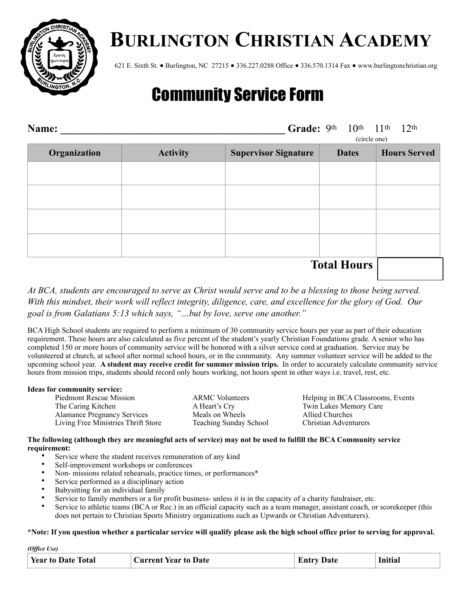

# **BURLINGTON CHRISTIAN ACADEMY**

621 E. Sixth St. ● Burlington, NC 27215 ● 336.227.0288 Office ● 336.570.1314 Fax ● www.burlingtonchristian.org

## Community Service Form

| Name:        |                 | Grade: 9th 10th 11th 12th<br>(circle one) |                    |                     |
|--------------|-----------------|-------------------------------------------|--------------------|---------------------|
| Organization | <b>Activity</b> | <b>Supervisor Signature</b>               | <b>Dates</b>       | <b>Hours Served</b> |
|              |                 |                                           |                    |                     |
|              |                 |                                           |                    |                     |
|              |                 |                                           |                    |                     |
|              |                 |                                           |                    |                     |
|              |                 |                                           | <b>Total Hours</b> |                     |

*At BCA, students are encouraged to serve as Christ would serve and to be a blessing to those being served. With this mindset, their work will reflect integrity, diligence, care, and excellence for the glory of God. Our goal is from Galatians 5:13 which says, "…but by love, serve one another."* 

BCA High School students are required to perform a minimum of 30 community service hours per year as part of their education requirement. These hours are also calculated as five percent of the student's yearly Christian Foundations grade. A senior who has completed 150 or more hours of community service will be honored with a silver service cord at graduation. Service may be volunteered at church, at school after normal school hours, or in the community. Any summer volunteer service will be added to the upcoming school year. **A student may receive credit for summer mission trips.** In order to accurately calculate community service hours from mission trips, students should record only hours working, not hours spent in other ways i.e. travel, rest, etc.

#### **Ideas for community service:**

*(Office Use)* 

The Caring Kitchen A Heart's Cry Twin Lakes Memory Care Alamance Pregnancy Services Meals on Wheels Allied Churches Living Free Ministries Thrift Store Teaching Sunday School Christian Adventurers

Piedmont Rescue Mission ARMC Volunteers Helping in BCA Classrooms, Events

### **The following (although they are meaningful acts of service) may not be used to fulfill the BCA Community service requirement:**

- Service where the student receives remuneration of any kind
- Self-improvement workshops or conferences
- Non- missions related rehearsals, practice times, or performances\*
- Service performed as a disciplinary action
- Babysitting for an individual family
- Service to family members or a for profit business- unless it is in the capacity of a charity fundraiser, etc.
- Service to athletic teams (BCA or Rec.) in an official capacity such as a team manager, assistant coach, or scorekeeper (this does not pertain to Christian Sports Ministry organizations such as Upwards or Christian Adventurers).

#### **\*Note: If you question whether a particular service will qualify please ask the high school office prior to serving for approval.**

| (v)                       |                             |                   |         |  |  |  |
|---------------------------|-----------------------------|-------------------|---------|--|--|--|
| <b>Year to Date Total</b> | <b>Current Year to Date</b> | <b>Entry Date</b> | Initial |  |  |  |